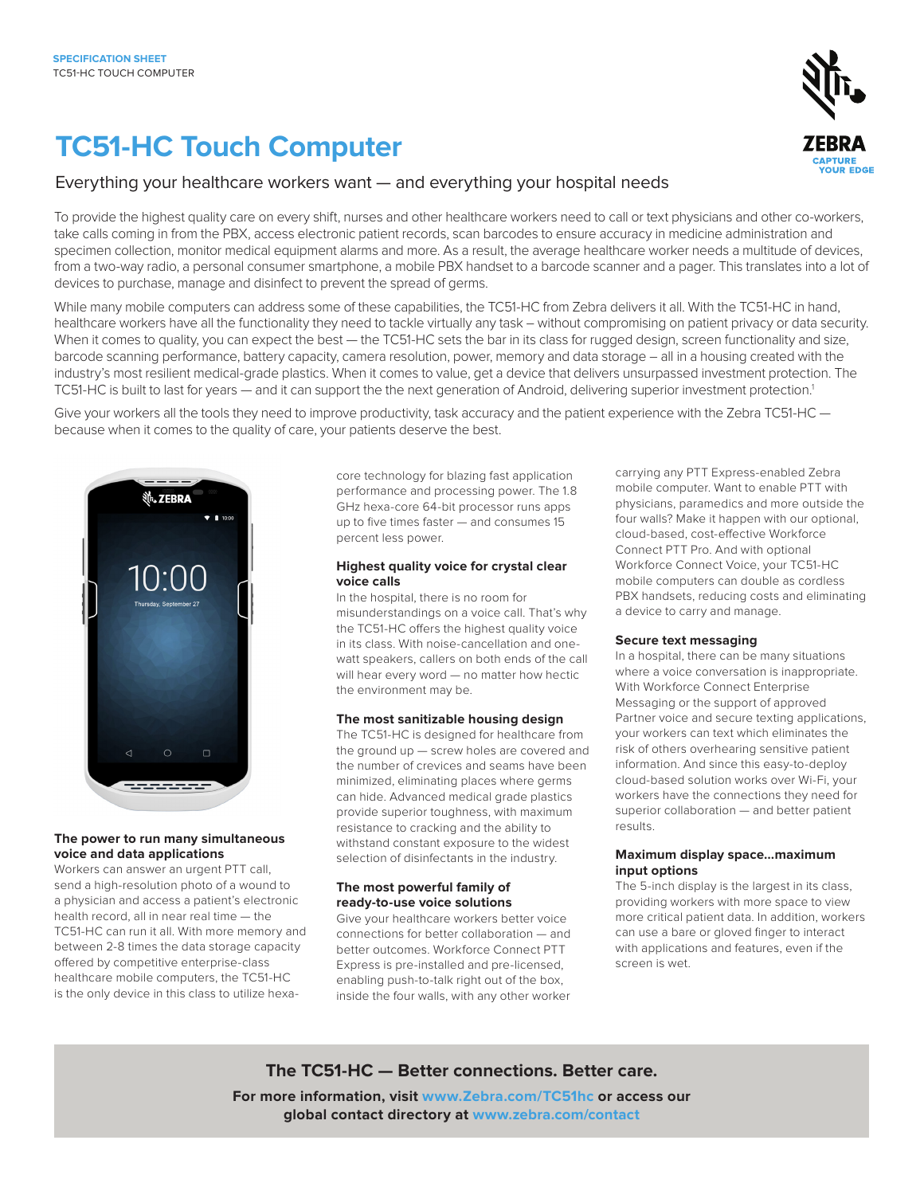# **TC51-HC Touch Computer**



## Everything your healthcare workers want — and everything your hospital needs

To provide the highest quality care on every shift, nurses and other healthcare workers need to call or text physicians and other co-workers, take calls coming in from the PBX, access electronic patient records, scan barcodes to ensure accuracy in medicine administration and specimen collection, monitor medical equipment alarms and more. As a result, the average healthcare worker needs a multitude of devices, from a two-way radio, a personal consumer smartphone, a mobile PBX handset to a barcode scanner and a pager. This translates into a lot of devices to purchase, manage and disinfect to prevent the spread of germs.

While many mobile computers can address some of these capabilities, the TC51-HC from Zebra delivers it all. With the TC51-HC in hand, healthcare workers have all the functionality they need to tackle virtually any task – without compromising on patient privacy or data security. When it comes to quality, you can expect the best - the TC51-HC sets the bar in its class for rugged design, screen functionality and size, barcode scanning performance, battery capacity, camera resolution, power, memory and data storage – all in a housing created with the industry's most resilient medical-grade plastics. When it comes to value, get a device that delivers unsurpassed investment protection. The TC51-HC is built to last for years — and it can support the the next generation of Android, delivering superior investment protection.1

Give your workers all the tools they need to improve productivity, task accuracy and the patient experience with the Zebra TC51-HC because when it comes to the quality of care, your patients deserve the best.



### **The power to run many simultaneous voice and data applications**

Workers can answer an urgent PTT call, send a high-resolution photo of a wound to a physician and access a patient's electronic health record, all in near real time — the TC51-HC can run it all. With more memory and between 2-8 times the data storage capacity offered by competitive enterprise-class healthcare mobile computers, the TC51-HC is the only device in this class to utilize hexacore technology for blazing fast application performance and processing power. The 1.8 GHz hexa-core 64-bit processor runs apps up to five times faster — and consumes 15 percent less power.

## **Highest quality voice for crystal clear voice calls**

In the hospital, there is no room for misunderstandings on a voice call. That's why the TC51-HC offers the highest quality voice in its class. With noise-cancellation and onewatt speakers, callers on both ends of the call will hear every word — no matter how hectic the environment may be.

### **The most sanitizable housing design**

The TC51-HC is designed for healthcare from the ground up — screw holes are covered and the number of crevices and seams have been minimized, eliminating places where germs can hide. Advanced medical grade plastics provide superior toughness, with maximum resistance to cracking and the ability to withstand constant exposure to the widest selection of disinfectants in the industry.

## **The most powerful family of ready-to-use voice solutions**

Give your healthcare workers better voice connections for better collaboration — and better outcomes. Workforce Connect PTT Express is pre-installed and pre-licensed, enabling push-to-talk right out of the box, inside the four walls, with any other worker carrying any PTT Express-enabled Zebra mobile computer. Want to enable PTT with physicians, paramedics and more outside the four walls? Make it happen with our optional, cloud-based, cost-effective Workforce Connect PTT Pro. And with optional Workforce Connect Voice, your TC51-HC mobile computers can double as cordless PBX handsets, reducing costs and eliminating a device to carry and manage.

### **Secure text messaging**

In a hospital, there can be many situations where a voice conversation is inappropriate. With Workforce Connect Enterprise Messaging or the support of approved Partner voice and secure texting applications, your workers can text which eliminates the risk of others overhearing sensitive patient information. And since this easy-to-deploy cloud-based solution works over Wi-Fi, your workers have the connections they need for superior collaboration — and better patient results.

## **Maximum display space…maximum input options**

The 5-inch display is the largest in its class, providing workers with more space to view more critical patient data. In addition, workers can use a bare or gloved finger to interact with applications and features, even if the screen is wet.

## **The TC51-HC — Better connections. Better care.**

**For more information, visit [www.Zebra.com/TC51hc](http://www.zebra.com/tc51hc) or access our global contact directory at<www.zebra.com/contact>**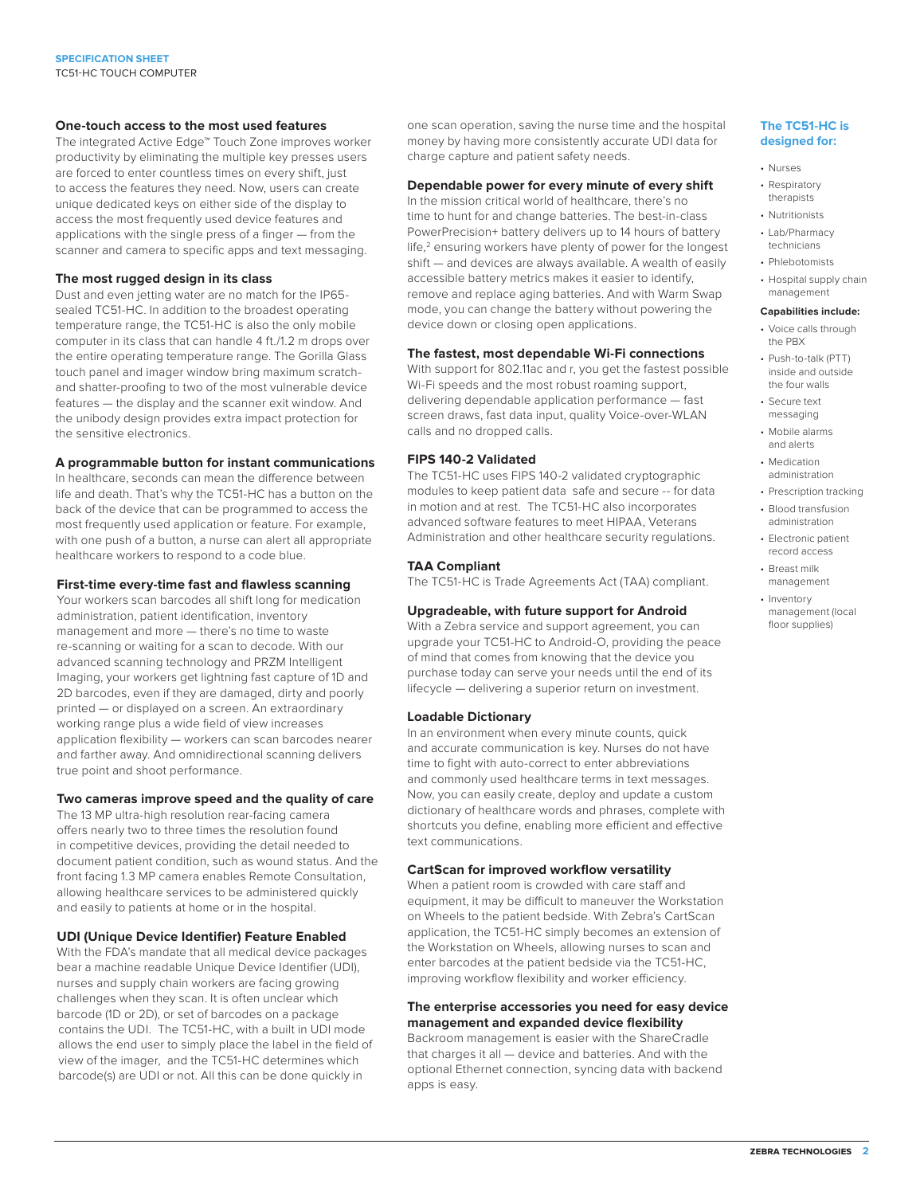#### **One-touch access to the most used features**

The integrated Active Edge™ Touch Zone improves worker productivity by eliminating the multiple key presses users are forced to enter countless times on every shift, just to access the features they need. Now, users can create unique dedicated keys on either side of the display to access the most frequently used device features and applications with the single press of a finger — from the scanner and camera to specific apps and text messaging.

#### **The most rugged design in its class**

Dust and even jetting water are no match for the IP65 sealed TC51-HC. In addition to the broadest operating temperature range, the TC51-HC is also the only mobile computer in its class that can handle 4 ft./1.2 m drops over the entire operating temperature range. The Gorilla Glass touch panel and imager window bring maximum scratchand shatter-proofing to two of the most vulnerable device features — the display and the scanner exit window. And the unibody design provides extra impact protection for the sensitive electronics.

### **A programmable button for instant communications**

In healthcare, seconds can mean the difference between life and death. That's why the TC51-HC has a button on the back of the device that can be programmed to access the most frequently used application or feature. For example, with one push of a button, a nurse can alert all appropriate healthcare workers to respond to a code blue.

#### **First-time every-time fast and flawless scanning**

Your workers scan barcodes all shift long for medication administration, patient identification, inventory management and more — there's no time to waste re-scanning or waiting for a scan to decode. With our advanced scanning technology and PRZM Intelligent Imaging, your workers get lightning fast capture of 1D and 2D barcodes, even if they are damaged, dirty and poorly printed — or displayed on a screen. An extraordinary working range plus a wide field of view increases application flexibility — workers can scan barcodes nearer and farther away. And omnidirectional scanning delivers true point and shoot performance.

#### **Two cameras improve speed and the quality of care**

The 13 MP ultra-high resolution rear-facing camera offers nearly two to three times the resolution found in competitive devices, providing the detail needed to document patient condition, such as wound status. And the front facing 1.3 MP camera enables Remote Consultation, allowing healthcare services to be administered quickly and easily to patients at home or in the hospital.

#### **UDI (Unique Device Identifier) Feature Enabled**

With the FDA's mandate that all medical device packages bear a machine readable Unique Device Identifier (UDI), nurses and supply chain workers are facing growing challenges when they scan. It is often unclear which barcode (1D or 2D), or set of barcodes on a package contains the UDI. The TC51-HC, with a built in UDI mode allows the end user to simply place the label in the field of view of the imager, and the TC51-HC determines which barcode(s) are UDI or not. All this can be done quickly in

one scan operation, saving the nurse time and the hospital money by having more consistently accurate UDI data for charge capture and patient safety needs.

#### **Dependable power for every minute of every shift**

In the mission critical world of healthcare, there's no time to hunt for and change batteries. The best-in-class PowerPrecision+ battery delivers up to 14 hours of battery life,<sup>2</sup> ensuring workers have plenty of power for the longest shift — and devices are always available. A wealth of easily accessible battery metrics makes it easier to identify, remove and replace aging batteries. And with Warm Swap mode, you can change the battery without powering the device down or closing open applications.

#### **The fastest, most dependable Wi-Fi connections**

With support for 802.11ac and r, you get the fastest possible Wi-Fi speeds and the most robust roaming support, delivering dependable application performance — fast screen draws, fast data input, quality Voice-over-WLAN calls and no dropped calls.

## **FIPS 140-2 Validated**

The TC51-HC uses FIPS 140-2 validated cryptographic modules to keep patient data safe and secure -- for data in motion and at rest. The TC51-HC also incorporates advanced software features to meet HIPAA, Veterans Administration and other healthcare security regulations.

#### **TAA Compliant**

The TC51-HC is Trade Agreements Act (TAA) compliant.

## **Upgradeable, with future support for Android**

With a Zebra service and support agreement, you can upgrade your TC51-HC to Android-O, providing the peace of mind that comes from knowing that the device you purchase today can serve your needs until the end of its lifecycle — delivering a superior return on investment.

#### **Loadable Dictionary**

In an environment when every minute counts, quick and accurate communication is key. Nurses do not have time to fight with auto-correct to enter abbreviations and commonly used healthcare terms in text messages. Now, you can easily create, deploy and update a custom dictionary of healthcare words and phrases, complete with shortcuts you define, enabling more efficient and effective text communications.

#### **CartScan for improved workflow versatility**

When a patient room is crowded with care staff and equipment, it may be difficult to maneuver the Workstation on Wheels to the patient bedside. With Zebra's CartScan application, the TC51-HC simply becomes an extension of the Workstation on Wheels, allowing nurses to scan and enter barcodes at the patient bedside via the TC51-HC, improving workflow flexibility and worker efficiency.

## **The enterprise accessories you need for easy device management and expanded device flexibility**

Backroom management is easier with the ShareCradle that charges it all — device and batteries. And with the optional Ethernet connection, syncing data with backend apps is easy.

#### **The TC51-HC is designed for:**

- Nurses
- Respiratory
- therapists
- Nutritionists
- Lab/Pharmacy technicians
- Phlebotomists
- Hospital supply chain management

## **Capabilities include:**

- Voice calls through the PBX
- Push-to-talk (PTT) inside and outside the four walls
- Secure text messaging
- Mobile alarms and alerts
- Medication administration
- Prescription tracking
- Blood transfusion administration
- Electronic patient record access
- Breast milk management
- Inventory management (local floor supplies)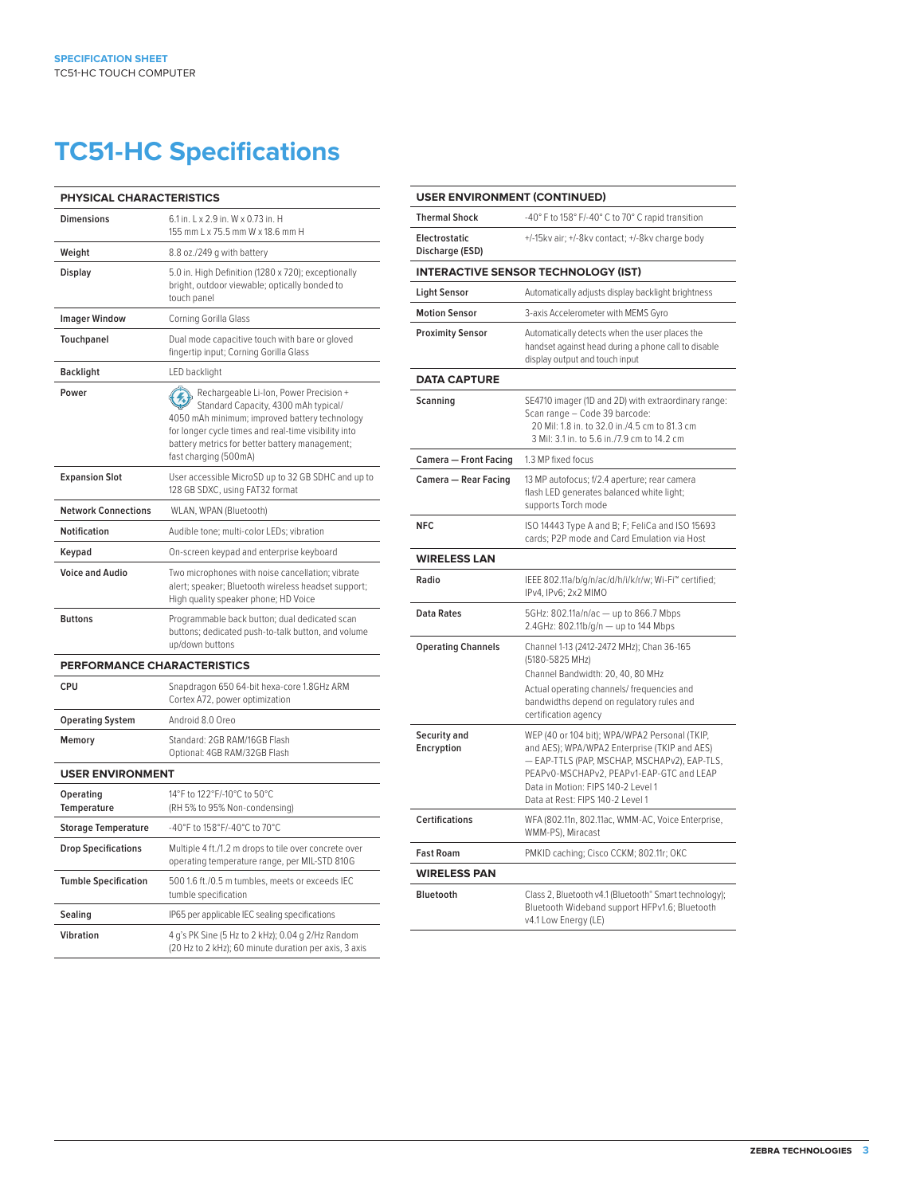# **TC51-HC Specifications**

| PHYSICAL CHARACTERISTICS        |                                                                                                                                                                                                                                                                    |  |
|---------------------------------|--------------------------------------------------------------------------------------------------------------------------------------------------------------------------------------------------------------------------------------------------------------------|--|
| <b>Dimensions</b>               | 6.1 in, L x 2.9 in, W x 0.73 in, H<br>155 mm L x 75.5 mm W x 18.6 mm H                                                                                                                                                                                             |  |
| Weight                          | 8.8 oz./249 g with battery                                                                                                                                                                                                                                         |  |
| <b>Display</b>                  | 5.0 in. High Definition (1280 x 720); exceptionally<br>bright, outdoor viewable; optically bonded to<br>touch panel                                                                                                                                                |  |
| <b>Imager Window</b>            | Corning Gorilla Glass                                                                                                                                                                                                                                              |  |
| Touchpanel                      | Dual mode capacitive touch with bare or gloved<br>fingertip input; Corning Gorilla Glass                                                                                                                                                                           |  |
| Backlight                       | LED backlight                                                                                                                                                                                                                                                      |  |
| Power                           | Rechargeable Li-Ion, Power Precision +<br>Standard Capacity, 4300 mAh typical/<br>4050 mAh minimum; improved battery technology<br>for longer cycle times and real-time visibility into<br>battery metrics for better battery management;<br>fast charging (500mA) |  |
| <b>Expansion Slot</b>           | User accessible MicroSD up to 32 GB SDHC and up to<br>128 GB SDXC, using FAT32 format                                                                                                                                                                              |  |
| <b>Network Connections</b>      | WLAN, WPAN (Bluetooth)                                                                                                                                                                                                                                             |  |
| Notification                    | Audible tone; multi-color LEDs; vibration                                                                                                                                                                                                                          |  |
| Keypad                          | On-screen keypad and enterprise keyboard                                                                                                                                                                                                                           |  |
| <b>Voice and Audio</b>          | Two microphones with noise cancellation; vibrate<br>alert; speaker; Bluetooth wireless headset support;<br>High quality speaker phone; HD Voice                                                                                                                    |  |
| <b>Buttons</b>                  | Programmable back button; dual dedicated scan<br>buttons; dedicated push-to-talk button, and volume<br>up/down buttons                                                                                                                                             |  |
| PERFORMANCE CHARACTERISTICS     |                                                                                                                                                                                                                                                                    |  |
| <b>CPU</b>                      | Snapdragon 650 64-bit hexa-core 1.8GHz ARM<br>Cortex A72, power optimization                                                                                                                                                                                       |  |
| <b>Operating System</b>         | Android 8.0 Oreo                                                                                                                                                                                                                                                   |  |
| Memory                          | Standard: 2GB RAM/16GB Flash<br>Optional: 4GB RAM/32GB Flash                                                                                                                                                                                                       |  |
| <b>USER ENVIRONMENT</b>         |                                                                                                                                                                                                                                                                    |  |
| Operating<br><b>Temperature</b> | 14°F to 122°F/-10°C to 50°C<br>(RH 5% to 95% Non-condensing)                                                                                                                                                                                                       |  |
| <b>Storage Temperature</b>      | -40°F to 158°F/-40°C to 70°C                                                                                                                                                                                                                                       |  |
| <b>Drop Specifications</b>      | Multiple 4 ft./1.2 m drops to tile over concrete over<br>operating temperature range, per MIL-STD 810G                                                                                                                                                             |  |
| <b>Tumble Specification</b>     | 500 1.6 ft./0.5 m tumbles, meets or exceeds IEC<br>tumble specification                                                                                                                                                                                            |  |
| Sealing                         | IP65 per applicable IEC sealing specifications                                                                                                                                                                                                                     |  |
| <b>Vibration</b>                | 4 g's PK Sine (5 Hz to 2 kHz); 0.04 g 2/Hz Random<br>(20 Hz to 2 kHz); 60 minute duration per axis, 3 axis                                                                                                                                                         |  |

| <b>USER ENVIRONMENT (CONTINUED)</b>     |                                                                                                                                                                                                                                                                     |
|-----------------------------------------|---------------------------------------------------------------------------------------------------------------------------------------------------------------------------------------------------------------------------------------------------------------------|
| <b>Thermal Shock</b>                    | -40° F to 158° F/-40° C to 70° C rapid transition                                                                                                                                                                                                                   |
| <b>Electrostatic</b><br>Discharge (ESD) | +/-15kv air; +/-8kv contact; +/-8kv charge body                                                                                                                                                                                                                     |
|                                         | <b>INTERACTIVE SENSOR TECHNOLOGY (IST)</b>                                                                                                                                                                                                                          |
| <b>Light Sensor</b>                     | Automatically adjusts display backlight brightness                                                                                                                                                                                                                  |
| <b>Motion Sensor</b>                    | 3-axis Accelerometer with MEMS Gyro                                                                                                                                                                                                                                 |
| <b>Proximity Sensor</b>                 | Automatically detects when the user places the<br>handset against head during a phone call to disable<br>display output and touch input                                                                                                                             |
| <b>DATA CAPTURE</b>                     |                                                                                                                                                                                                                                                                     |
| Scanning                                | SE4710 imager (1D and 2D) with extraordinary range:<br>Scan range - Code 39 barcode:<br>20 Mil: 1.8 in. to 32.0 in./4.5 cm to 81.3 cm<br>3 Mil: 3.1 in. to 5.6 in./7.9 cm to 14.2 cm                                                                                |
| Camera - Front Facing                   | 1.3 MP fixed focus                                                                                                                                                                                                                                                  |
| Camera - Rear Facing                    | 13 MP autofocus; f/2.4 aperture; rear camera<br>flash LED generates balanced white light;<br>supports Torch mode                                                                                                                                                    |
| <b>NFC</b>                              | ISO 14443 Type A and B; F; FeliCa and ISO 15693<br>cards; P2P mode and Card Emulation via Host                                                                                                                                                                      |
| <b>WIRELESS LAN</b>                     |                                                                                                                                                                                                                                                                     |
| Radio                                   | IEEE 802.11a/b/g/n/ac/d/h/i/k/r/w; Wi-Fi™ certified;<br>IPv4, IPv6; 2x2 MIMO                                                                                                                                                                                        |
| <b>Data Rates</b>                       | 5GHz: 802.11a/n/ac - up to 866.7 Mbps<br>2.4GHz: 802.11b/g/n - up to 144 Mbps                                                                                                                                                                                       |
| <b>Operating Channels</b>               | Channel 1-13 (2412-2472 MHz); Chan 36-165<br>(5180-5825 MHz)<br>Channel Bandwidth: 20, 40, 80 MHz<br>Actual operating channels/ frequencies and<br>bandwidths depend on regulatory rules and<br>certification agency                                                |
| Security and<br>Encryption              | WEP (40 or 104 bit); WPA/WPA2 Personal (TKIP,<br>and AES); WPA/WPA2 Enterprise (TKIP and AES)<br>- EAP-TTLS (PAP, MSCHAP, MSCHAPv2), EAP-TLS,<br>PEAPv0-MSCHAPv2, PEAPv1-EAP-GTC and LEAP<br>Data in Motion: FIPS 140-2 Level 1<br>Data at Rest: FIPS 140-2 Level 1 |
| <b>Certifications</b>                   | WFA (802.11n, 802.11ac, WMM-AC, Voice Enterprise,<br>WMM-PS), Miracast                                                                                                                                                                                              |
| <b>Fast Roam</b>                        | PMKID caching; Cisco CCKM; 802.11r; OKC                                                                                                                                                                                                                             |
| <b>WIRELESS PAN</b>                     |                                                                                                                                                                                                                                                                     |
| <b>Bluetooth</b>                        | Class 2, Bluetooth v4.1 (Bluetooth® Smart technology);<br>Bluetooth Wideband support HFPv1.6; Bluetooth<br>v4.1 Low Energy (LE)                                                                                                                                     |